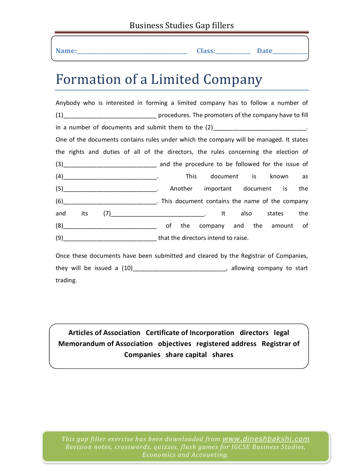| Name: | <b>Class:</b> |
|-------|---------------|

## $\blacksquare$  **Date**

## Formation of a Limited Company

Anybody who is interested in forming a limited company has to follow a number of (1)\_\_\_\_\_\_\_\_\_\_\_\_\_\_\_\_\_\_\_\_\_\_\_\_\_\_\_\_ procedures. The promoters of the company have to fill in a number of documents and submit them to the  $(2)$  \_\_\_\_\_\_\_\_\_\_\_\_\_\_\_\_\_\_\_\_\_\_\_\_\_\_\_. One of the documents contains rules under which the company will be managed. It states the rights and duties of all of the directors, the rules concerning the election of (3)\_\_\_\_\_\_\_\_\_\_\_\_\_\_\_\_\_\_\_\_\_\_\_\_\_\_\_\_ and the procedure to be followed for the issue of (4)\_\_\_\_\_\_\_\_\_\_\_\_\_\_\_\_\_\_\_\_\_\_\_\_\_\_\_\_. This document is known as (5)\_\_\_\_\_\_\_\_\_\_\_\_\_\_\_\_\_\_\_\_\_\_\_\_\_\_\_\_. Another important document is the (6)\_\_\_\_\_\_\_\_\_\_\_\_\_\_\_\_\_\_\_\_\_\_\_\_\_\_\_\_. This document contains the name of the company and its (7)\_\_\_\_\_\_\_\_\_\_\_\_\_\_\_\_\_\_\_\_\_\_\_\_\_\_\_\_\_\_\_\_. It also states the  $(8)$  and the company and the amount of  $(8)$ (9) That the directors intend to raise.

Once these documents have been submitted and cleared by the Registrar of Companies, they will be issued a  $(10)$  \_\_\_\_\_\_\_\_\_\_\_\_\_\_\_\_\_\_\_\_\_\_\_\_\_\_\_\_\_, allowing company to start trading.

**Memorandum of Association objectives registered address Registrar of <br>Companies share capital shares Articles of Association Certificate of Incorporation directors legal Companies share capital shares**

*This gap filler exercise has been downloaded from www.dineshbakshi.com Revision notes, crosswords, quizzes, flash games for IGCSE Business Studies, Economics and Accounting.*